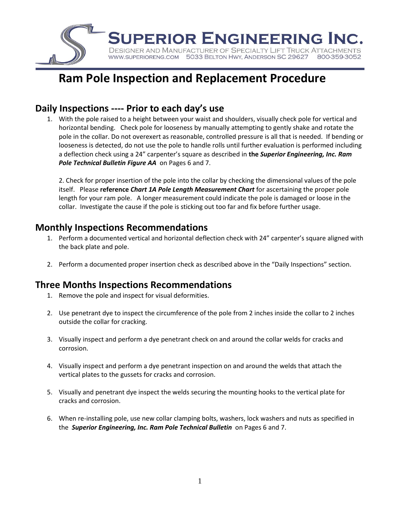

# **Ram Pole Inspection and Replacement Procedure**

## **Daily Inspections ---- Prior to each day's use**

1. With the pole raised to a height between your waist and shoulders, visually check pole for vertical and horizontal bending. Check pole for looseness by manually attempting to gently shake and rotate the pole in the collar. Do not overexert as reasonable, controlled pressure is all that is needed. If bending or looseness is detected, do not use the pole to handle rolls until further evaluation is performed including a deflection check using a 24" carpenter's square as described in **the** *Superior Engineering, Inc. Ram Pole Technical Bulletin Figure AA* on Pages 6 and 7.

2. Check for proper insertion of the pole into the collar by checking the dimensional values of the pole itself. Please **reference** *Chart 1A Pole Length Measurement Chart* for ascertaining the proper pole length for your ram pole. A longer measurement could indicate the pole is damaged or loose in the collar. Investigate the cause if the pole is sticking out too far and fix before further usage.

## **Monthly Inspections Recommendations**

- 1. Perform a documented vertical and horizontal deflection check with 24" carpenter's square aligned with the back plate and pole.
- 2. Perform a documented proper insertion check as described above in the "Daily Inspections" section.

## **Three Months Inspections Recommendations**

- 1. Remove the pole and inspect for visual deformities.
- 2. Use penetrant dye to inspect the circumference of the pole from 2 inches inside the collar to 2 inches outside the collar for cracking.
- 3. Visually inspect and perform a dye penetrant check on and around the collar welds for cracks and corrosion.
- 4. Visually inspect and perform a dye penetrant inspection on and around the welds that attach the vertical plates to the gussets for cracks and corrosion.
- 5. Visually and penetrant dye inspect the welds securing the mounting hooks to the vertical plate for cracks and corrosion.
- 6. When re-installing pole, use new collar clamping bolts, washers, lock washers and nuts as specified in the *Superior Engineering, Inc. Ram Pole Technical Bulletin* on Pages 6 and 7.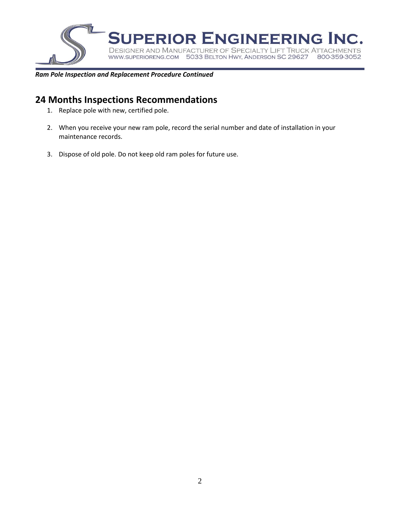

#### *Ram Pole Inspection and Replacement Procedure Continued*

### **24 Months Inspections Recommendations**

- 1. Replace pole with new, certified pole.
- 2. When you receive your new ram pole, record the serial number and date of installation in your maintenance records.
- 3. Dispose of old pole. Do not keep old ram poles for future use.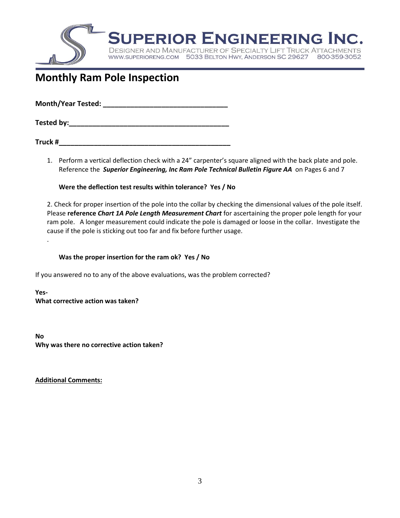

# **Monthly Ram Pole Inspection**

**Month/Year Tested: With an article of the state of the state of the state of the state of the state of the state of the state of the state of the state of the state of the state of the state of the state of the state of** 

**Tested by: Tested by: Tested by: Tested in the state of the state of the state of the state of the state of the state of the state of the state of the state of the state of the state of the state of the state of the** 

**Truck #\_\_\_\_\_\_\_\_\_\_\_\_\_\_\_\_\_\_\_\_\_\_\_\_\_\_\_\_\_\_\_\_\_\_\_\_\_\_\_\_\_\_\_\_**

1. Perform a vertical deflection check with a 24" carpenter's square aligned with the back plate and pole. Reference the *Superior Engineering, Inc Ram Pole Technical Bulletin Figure AA* on Pages 6 and 7

#### **Were the deflection test results within tolerance? Yes / No**

2. Check for proper insertion of the pole into the collar by checking the dimensional values of the pole itself. Please **reference** *Chart 1A Pole Length Measurement Chart* for ascertaining the proper pole length for your ram pole. A longer measurement could indicate the pole is damaged or loose in the collar. Investigate the cause if the pole is sticking out too far and fix before further usage.

**Was the proper insertion for the ram ok? Yes / No**

If you answered no to any of the above evaluations, was the problem corrected?

**Yes-What corrective action was taken?**

**No Why was there no corrective action taken?**

**Additional Comments:** 

.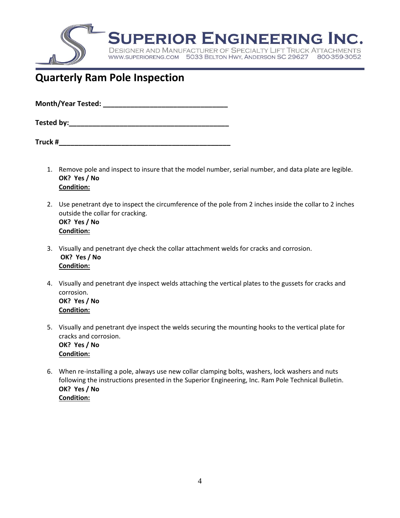

# **Quarterly Ram Pole Inspection**

| <b>Month/Year Tested:</b> |  |
|---------------------------|--|
|                           |  |

**Tested by: Tested by: Tested in the set of**  $\mathbf{z}$  **in the set of**  $\mathbf{z}$  **in the set of**  $\mathbf{z}$  **in the set of**  $\mathbf{z}$  **in the set of**  $\mathbf{z}$  **in the set of**  $\mathbf{z}$  **in the set of**  $\mathbf{z}$  **in the set of**  $\mathbf{z}$  **in t** 

**Truck #\_\_\_\_\_\_\_\_\_\_\_\_\_\_\_\_\_\_\_\_\_\_\_\_\_\_\_\_\_\_\_\_\_\_\_\_\_\_\_\_\_\_\_\_**

- 1. Remove pole and inspect to insure that the model number, serial number, and data plate are legible. **OK? Yes / No Condition:**
- 2. Use penetrant dye to inspect the circumference of the pole from 2 inches inside the collar to 2 inches outside the collar for cracking. **OK? Yes / No Condition:**
- 3. Visually and penetrant dye check the collar attachment welds for cracks and corrosion. **OK? Yes / No Condition:**
- 4. Visually and penetrant dye inspect welds attaching the vertical plates to the gussets for cracks and corrosion. **OK? Yes / No Condition:**
- 5. Visually and penetrant dye inspect the welds securing the mounting hooks to the vertical plate for cracks and corrosion. **OK? Yes / No Condition:**
- 6. When re-installing a pole, always use new collar clamping bolts, washers, lock washers and nuts following the instructions presented in the Superior Engineering, Inc. Ram Pole Technical Bulletin. **OK? Yes / No Condition:**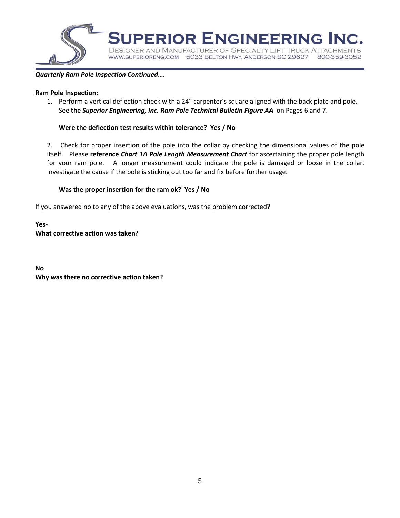

#### *Quarterly Ram Pole Inspection Continued….*

#### **Ram Pole Inspection:**

1. Perform a vertical deflection check with a 24" carpenter's square aligned with the back plate and pole. See **the** *Superior Engineering, Inc. Ram Pole Technical Bulletin Figure AA* on Pages 6 and 7.

#### **Were the deflection test results within tolerance? Yes / No**

2. Check for proper insertion of the pole into the collar by checking the dimensional values of the pole itself. Please **reference** *Chart 1A Pole Length Measurement Chart* for ascertaining the proper pole length for your ram pole. A longer measurement could indicate the pole is damaged or loose in the collar. Investigate the cause if the pole is sticking out too far and fix before further usage.

#### **Was the proper insertion for the ram ok? Yes / No**

If you answered no to any of the above evaluations, was the problem corrected?

**Yes-What corrective action was taken?**

**No Why was there no corrective action taken?**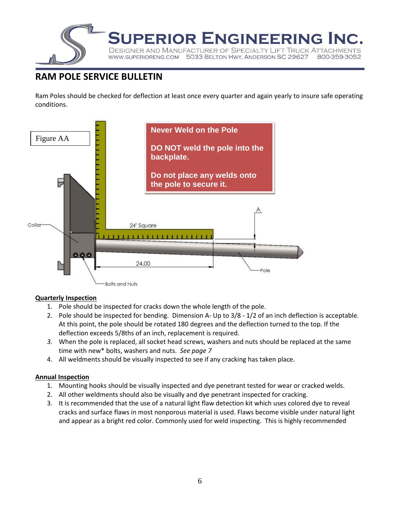

## **RAM POLE SERVICE BULLETIN**

Ram Poles should be checked for deflection at least once every quarter and again yearly to insure safe operating conditions.



#### **Quarterly Inspection**

- 1. Pole should be inspected for cracks down the whole length of the pole.
- 2. Pole should be inspected for bending. Dimension A- Up to 3/8 1/2 of an inch deflection is acceptable. At this point, the pole should be rotated 180 degrees and the deflection turned to the top. If the deflection exceeds 5/8ths of an inch, replacement is required.
- *3.* When the pole is replaced, all socket head screws, washers and nuts should be replaced at the same time with new\* bolts, washers and nuts. *See page 7*
- 4. All weldments should be visually inspected to see if any cracking has taken place.

#### **Annual Inspection**

- 1. Mounting hooks should be visually inspected and dye penetrant tested for wear or cracked welds.
- 2. All other weldments should also be visually and dye penetrant inspected for cracking.
- 3. It is recommended that the use of a natural light flaw detection kit which uses colored dye to reveal cracks and surface flaws in most nonporous material is used. Flaws become visible under natural light and appear as a bright red color. Commonly used for weld inspecting. This is highly recommended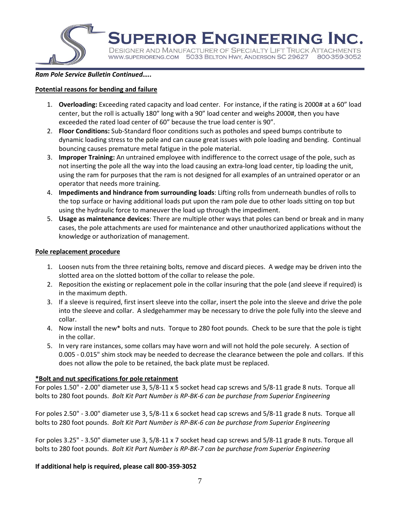

**JPERIOR ENGINEERING INC.** 

**DESIGNER AND MANUFACTURER OF SPECIALTY LIFT TRUCK A** WWW.SUPERIORENG.COM 5033 BELTON HWY, ANDERSON SC 29627 800-359-3052

#### *Ram Pole Service Bulletin Continued…..*

#### **Potential reasons for bending and failure**

- 1. **Overloading:** Exceeding rated capacity and load center. For instance, if the rating is 2000# at a 60" load center, but the roll is actually 180" long with a 90" load center and weighs 2000#, then you have exceeded the rated load center of 60" because the true load center is 90".
- 2. **Floor Conditions:** Sub-Standard floor conditions such as potholes and speed bumps contribute to dynamic loading stress to the pole and can cause great issues with pole loading and bending. Continual bouncing causes premature metal fatigue in the pole material.
- 3. **Improper Training:** An untrained employee with indifference to the correct usage of the pole, such as not inserting the pole all the way into the load causing an extra-long load center, tip loading the unit, using the ram for purposes that the ram is not designed for all examples of an untrained operator or an operator that needs more training.
- 4. **Impediments and hindrance from surrounding loads**: Lifting rolls from underneath bundles of rolls to the top surface or having additional loads put upon the ram pole due to other loads sitting on top but using the hydraulic force to maneuver the load up through the impediment.
- 5. **Usage as maintenance devices**: There are multiple other ways that poles can bend or break and in many cases, the pole attachments are used for maintenance and other unauthorized applications without the knowledge or authorization of management.

#### **Pole replacement procedure**

- 1. Loosen nuts from the three retaining bolts, remove and discard pieces. A wedge may be driven into the slotted area on the slotted bottom of the collar to release the pole.
- 2. Reposition the existing or replacement pole in the collar insuring that the pole (and sleeve if required) is in the maximum depth.
- 3. If a sleeve is required, first insert sleeve into the collar, insert the pole into the sleeve and drive the pole into the sleeve and collar. A sledgehammer may be necessary to drive the pole fully into the sleeve and collar.
- 4. Now install the new\* bolts and nuts. Torque to 280 foot pounds. Check to be sure that the pole is tight in the collar.
- 5. In very rare instances, some collars may have worn and will not hold the pole securely. A section of 0.005 - 0.015" shim stock may be needed to decrease the clearance between the pole and collars. If this does not allow the pole to be retained, the back plate must be replaced.

#### **\*Bolt and nut specifications for pole retainment**

For poles 1.50" - 2.00" diameter use 3, 5/8-11 x 5 socket head cap screws and 5/8-11 grade 8 nuts. Torque all bolts to 280 foot pounds. *Bolt Kit Part Number is RP-BK-6 can be purchase from Superior Engineering*

For poles 2.50" - 3.00" diameter use 3, 5/8-11 x 6 socket head cap screws and 5/8-11 grade 8 nuts. Torque all bolts to 280 foot pounds. *Bolt Kit Part Number is RP-BK-6 can be purchase from Superior Engineering*

For poles 3.25" - 3.50" diameter use 3, 5/8-11 x 7 socket head cap screws and 5/8-11 grade 8 nuts. Torque all bolts to 280 foot pounds. *Bolt Kit Part Number is RP-BK-7 can be purchase from Superior Engineering*

#### **If additional help is required, please call 800-359-3052**